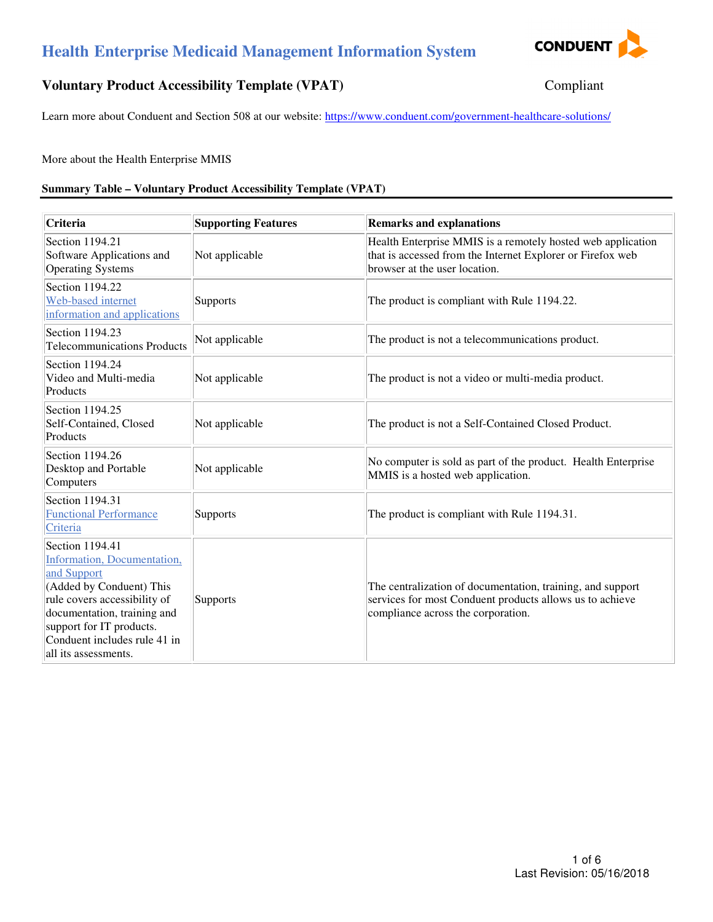# **Health Enterprise Medicaid Management Information System**



# **Voluntary Product Accessibility Template (VPAT)** Compliant

Learn more about Conduent and Section 508 at our website: https://www.conduent.com/government-healthcare-solutions/

More about the Health Enterprise MMIS

#### **Summary Table – Voluntary Product Accessibility Template (VPAT)**

| Criteria                                                                                                                                                                                                                                     | <b>Supporting Features</b> | <b>Remarks and explanations</b>                                                                                                                              |
|----------------------------------------------------------------------------------------------------------------------------------------------------------------------------------------------------------------------------------------------|----------------------------|--------------------------------------------------------------------------------------------------------------------------------------------------------------|
| Section 1194.21<br>Software Applications and<br><b>Operating Systems</b>                                                                                                                                                                     | Not applicable             | Health Enterprise MMIS is a remotely hosted web application<br>that is accessed from the Internet Explorer or Firefox web<br>browser at the user location.   |
| Section 1194.22<br>Web-based internet<br>information and applications                                                                                                                                                                        | Supports                   | The product is compliant with Rule 1194.22.                                                                                                                  |
| Section 1194.23<br><b>Telecommunications Products</b>                                                                                                                                                                                        | Not applicable             | The product is not a telecommunications product.                                                                                                             |
| Section 1194.24<br>Video and Multi-media<br>Products                                                                                                                                                                                         | Not applicable             | The product is not a video or multi-media product.                                                                                                           |
| Section 1194.25<br>Self-Contained, Closed<br>Products                                                                                                                                                                                        | Not applicable             | The product is not a Self-Contained Closed Product.                                                                                                          |
| Section 1194.26<br>Desktop and Portable<br>Computers                                                                                                                                                                                         | Not applicable             | No computer is sold as part of the product. Health Enterprise<br>MMIS is a hosted web application.                                                           |
| Section 1194.31<br><b>Functional Performance</b><br>Criteria                                                                                                                                                                                 | Supports                   | The product is compliant with Rule 1194.31.                                                                                                                  |
| Section 1194.41<br>Information, Documentation,<br>and Support<br>(Added by Conduent) This<br>rule covers accessibility of<br>documentation, training and<br>support for IT products.<br>Conduent includes rule 41 in<br>all its assessments. | Supports                   | The centralization of documentation, training, and support<br>services for most Conduent products allows us to achieve<br>compliance across the corporation. |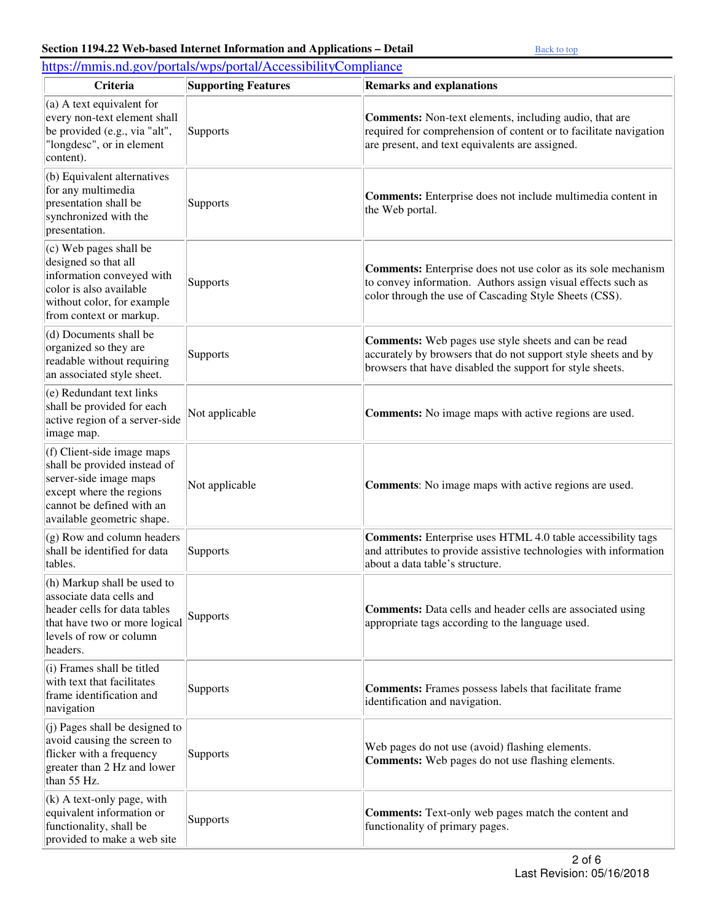| https://mmis.nd.gov/portals/wps/portal/AccessibilityCompliance                                                                                                              |                            |                                                                                                                                                                                                |  |
|-----------------------------------------------------------------------------------------------------------------------------------------------------------------------------|----------------------------|------------------------------------------------------------------------------------------------------------------------------------------------------------------------------------------------|--|
| Criteria                                                                                                                                                                    | <b>Supporting Features</b> | <b>Remarks and explanations</b>                                                                                                                                                                |  |
| $(a)$ A text equivalent for<br>every non-text element shall<br>be provided (e.g., via "alt",<br>"longdesc", or in element<br>content).                                      | Supports                   | <b>Comments:</b> Non-text elements, including audio, that are<br>required for comprehension of content or to facilitate navigation<br>are present, and text equivalents are assigned.          |  |
| (b) Equivalent alternatives<br>for any multimedia<br>presentation shall be<br>synchronized with the<br>presentation.                                                        | Supports                   | <b>Comments:</b> Enterprise does not include multimedia content in<br>the Web portal.                                                                                                          |  |
| $(c)$ Web pages shall be<br>designed so that all<br>information conveyed with<br>color is also available<br>without color, for example<br>from context or markup.           | Supports                   | <b>Comments:</b> Enterprise does not use color as its sole mechanism<br>to convey information. Authors assign visual effects such as<br>color through the use of Cascading Style Sheets (CSS). |  |
| (d) Documents shall be<br>organized so they are<br>readable without requiring<br>an associated style sheet.                                                                 | Supports                   | Comments: Web pages use style sheets and can be read<br>accurately by browsers that do not support style sheets and by<br>browsers that have disabled the support for style sheets.            |  |
| (e) Redundant text links<br>shall be provided for each<br>active region of a server-side<br>image map.                                                                      | Not applicable             | <b>Comments:</b> No image maps with active regions are used.                                                                                                                                   |  |
| (f) Client-side image maps<br>shall be provided instead of<br>server-side image maps<br>except where the regions<br>cannot be defined with an<br>available geometric shape. | Not applicable             | Comments: No image maps with active regions are used.                                                                                                                                          |  |
| (g) Row and column headers<br>shall be identified for data<br>tables.                                                                                                       | Supports                   | <b>Comments:</b> Enterprise uses HTML 4.0 table accessibility tags<br>and attributes to provide assistive technologies with information<br>about a data table's structure.                     |  |
| (h) Markup shall be used to<br>associate data cells and<br>header cells for data tables<br>that have two or more logical<br>levels of row or column<br>headers.             | Supports                   | <b>Comments:</b> Data cells and header cells are associated using<br>appropriate tags according to the language used.                                                                          |  |
| (i) Frames shall be titled<br>with text that facilitates<br>frame identification and<br>navigation                                                                          | Supports                   | <b>Comments:</b> Frames possess labels that facilitate frame<br>identification and navigation.                                                                                                 |  |
| $(i)$ Pages shall be designed to<br>avoid causing the screen to<br>flicker with a frequency<br>greater than 2 Hz and lower<br>than 55 Hz.                                   | <b>Supports</b>            | Web pages do not use (avoid) flashing elements.<br>Comments: Web pages do not use flashing elements.                                                                                           |  |
| $(k)$ A text-only page, with<br>equivalent information or<br>functionality, shall be<br>provided to make a web site                                                         | Supports                   | <b>Comments:</b> Text-only web pages match the content and<br>functionality of primary pages.                                                                                                  |  |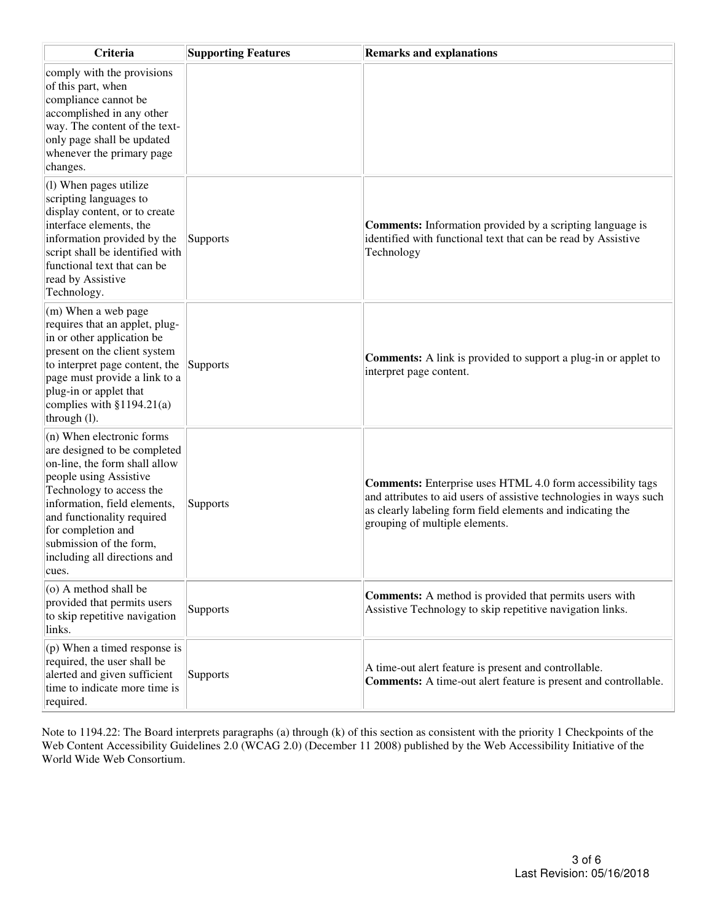| Criteria                                                                                                                                                                                                                                                                                                   | <b>Supporting Features</b> | <b>Remarks and explanations</b>                                                                                                                                                                                                         |
|------------------------------------------------------------------------------------------------------------------------------------------------------------------------------------------------------------------------------------------------------------------------------------------------------------|----------------------------|-----------------------------------------------------------------------------------------------------------------------------------------------------------------------------------------------------------------------------------------|
| comply with the provisions<br>of this part, when<br>compliance cannot be<br>accomplished in any other<br>way. The content of the text-<br>only page shall be updated<br>whenever the primary page<br>changes.                                                                                              |                            |                                                                                                                                                                                                                                         |
| $(1)$ When pages utilize<br>scripting languages to<br>display content, or to create<br>interface elements, the<br>information provided by the<br>script shall be identified with<br>functional text that can be<br>read by Assistive<br>Technology.                                                        | Supports                   | <b>Comments:</b> Information provided by a scripting language is<br>identified with functional text that can be read by Assistive<br>Technology                                                                                         |
| $\vert$ (m) When a web page<br>requires that an applet, plug-<br>in or other application be<br>present on the client system<br>to interpret page content, the<br>page must provide a link to a<br>plug-in or applet that<br>complies with $§1194.21(a)$<br>through $(l)$ .                                 | Supports                   | Comments: A link is provided to support a plug-in or applet to<br>interpret page content.                                                                                                                                               |
| $(n)$ When electronic forms<br>are designed to be completed<br>on-line, the form shall allow<br>people using Assistive<br>Technology to access the<br>information, field elements,<br>and functionality required<br>for completion and<br>submission of the form,<br>including all directions and<br>cues. | Supports                   | <b>Comments:</b> Enterprise uses HTML 4.0 form accessibility tags<br>and attributes to aid users of assistive technologies in ways such<br>as clearly labeling form field elements and indicating the<br>grouping of multiple elements. |
| $(0)$ A method shall be<br>provided that permits users<br>to skip repetitive navigation<br>links.                                                                                                                                                                                                          | Supports                   | <b>Comments:</b> A method is provided that permits users with<br>Assistive Technology to skip repetitive navigation links.                                                                                                              |
| (p) When a timed response is<br>required, the user shall be<br>alerted and given sufficient<br>time to indicate more time is<br>required.                                                                                                                                                                  | <b>Supports</b>            | A time-out alert feature is present and controllable.<br>Comments: A time-out alert feature is present and controllable.                                                                                                                |

Note to 1194.22: The Board interprets paragraphs (a) through (k) of this section as consistent with the priority 1 Checkpoints of the Web Content Accessibility Guidelines 2.0 (WCAG 2.0) (December 11 2008) published by the Web Accessibility Initiative of the World Wide Web Consortium.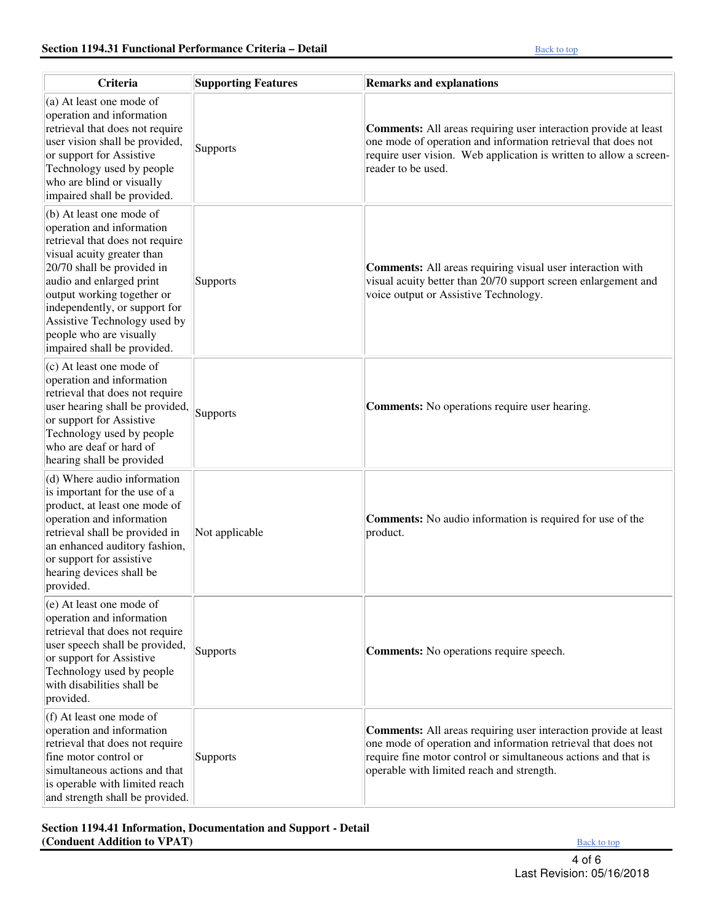| Criteria                                                                                                                                                                                                                                                                                                                                  | <b>Supporting Features</b> | <b>Remarks and explanations</b>                                                                                                                                                                                                                        |
|-------------------------------------------------------------------------------------------------------------------------------------------------------------------------------------------------------------------------------------------------------------------------------------------------------------------------------------------|----------------------------|--------------------------------------------------------------------------------------------------------------------------------------------------------------------------------------------------------------------------------------------------------|
| (a) At least one mode of<br>operation and information<br>retrieval that does not require<br>user vision shall be provided,<br>or support for Assistive<br>Technology used by people<br>who are blind or visually<br>impaired shall be provided.                                                                                           | Supports                   | <b>Comments:</b> All areas requiring user interaction provide at least<br>one mode of operation and information retrieval that does not<br>require user vision. Web application is written to allow a screen-<br>reader to be used.                    |
| (b) At least one mode of<br>operation and information<br>retrieval that does not require<br>visual acuity greater than<br>20/70 shall be provided in<br>audio and enlarged print<br>output working together or<br>independently, or support for<br>Assistive Technology used by<br>people who are visually<br>impaired shall be provided. | Supports                   | <b>Comments:</b> All areas requiring visual user interaction with<br>visual acuity better than 20/70 support screen enlargement and<br>voice output or Assistive Technology.                                                                           |
| (c) At least one mode of<br>operation and information<br>retrieval that does not require<br>user hearing shall be provided,<br>or support for Assistive<br>Technology used by people<br>who are deaf or hard of<br>hearing shall be provided                                                                                              | Supports                   | <b>Comments:</b> No operations require user hearing.                                                                                                                                                                                                   |
| (d) Where audio information<br>is important for the use of a<br>product, at least one mode of<br>operation and information<br>retrieval shall be provided in<br>an enhanced auditory fashion,<br>or support for assistive<br>hearing devices shall be<br>provided.                                                                        | Not applicable             | Comments: No audio information is required for use of the<br>product.                                                                                                                                                                                  |
| $(e)$ At least one mode of<br>operation and information<br>retrieval that does not require<br>user speech shall be provided,<br>or support for Assistive<br>Technology used by people<br>with disabilities shall be<br>provided.                                                                                                          | Supports                   | <b>Comments:</b> No operations require speech.                                                                                                                                                                                                         |
| (f) At least one mode of<br>operation and information<br>retrieval that does not require<br>fine motor control or<br>simultaneous actions and that<br>is operable with limited reach<br>and strength shall be provided.                                                                                                                   | Supports                   | <b>Comments:</b> All areas requiring user interaction provide at least<br>one mode of operation and information retrieval that does not<br>require fine motor control or simultaneous actions and that is<br>operable with limited reach and strength. |

### **Section 1194.41 Information, Documentation and Support - Detail (Conduent Addition to VPAT) Back to top**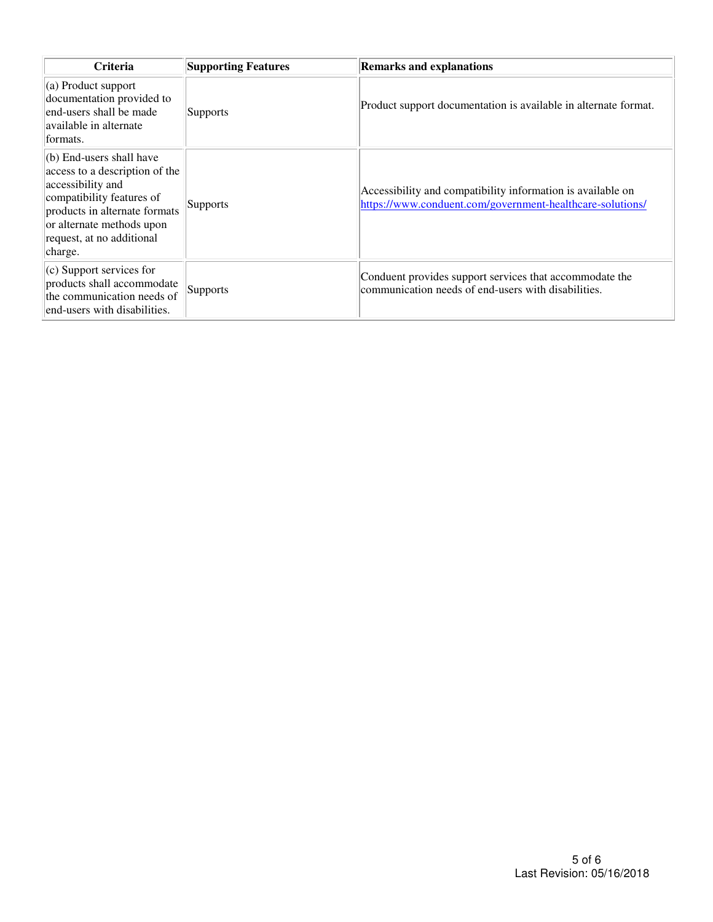| <b>Criteria</b>                                                                                                                                                                                                            | <b>Supporting Features</b> | <b>Remarks and explanations</b>                                                                                          |
|----------------------------------------------------------------------------------------------------------------------------------------------------------------------------------------------------------------------------|----------------------------|--------------------------------------------------------------------------------------------------------------------------|
| $\vert$ (a) Product support<br>documentation provided to<br>end-users shall be made<br>available in alternate<br>formats.                                                                                                  | <b>Supports</b>            | Product support documentation is available in alternate format.                                                          |
| $\vert$ (b) End-users shall have<br>access to a description of the<br>accessibility and<br>compatibility features of<br>products in alternate formats<br>or alternate methods upon<br>request, at no additional<br>charge. | Supports                   | Accessibility and compatibility information is available on<br>https://www.conduent.com/government-healthcare-solutions/ |
| $(c)$ Support services for<br>products shall accommodate<br>the communication needs of<br>end-users with disabilities.                                                                                                     | Supports                   | Conduent provides support services that accommodate the<br>communication needs of end-users with disabilities.           |